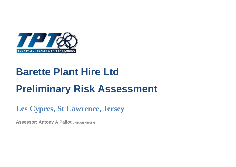

# **Barette Plant Hire Ltd**

## **Preliminary Risk Assessment**

**Les Cypres, St Lawrence, Jersey** 

**Assessor: Antony A Pallot CMIOSH MIIRSM**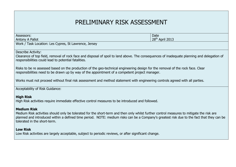### PRELIMINARY RISK ASSESSMENT

Assessors:

Antony A Pallot

Date 28<sup>th</sup> April 2013

Work / Task Location: Les Cypres, St Lawrence, Jersey

Describe Activity:

Clearance of top field, removal of rock face and disposal of spoil to land above. The consequences of inadequate planning and delegation of responsibilities could lead to potential fatalities.

Risks to be re assessed based on the production of the geo-technical engineering design for the removal of the rock face. Clear responsibilities need to be drawn up by way of the appointment of a competent project manager.

Works must not proceed without final risk assessment and method statement with engineering controls agreed with all parties.

Acceptability of Risk Guidance:

#### **High Risk**

High Risk activities require immediate effective control measures to be introduced and followed.

#### **Medium Risk**

Medium Risk activities should only be tolerated for the short-term and then only whilst further control measures to mitigate the risk are planned and introduced within a defined time period. NOTE: medium risks can be a Company's greatest risk due to the fact that they can be tolerated in the short-term.

#### **Low Risk**

Low Risk activities are largely acceptable, subject to periodic reviews, or after significant change.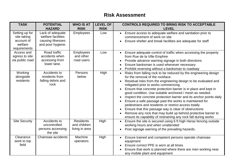### **Risk Assessment**

| <b>TASK</b>                                                            | <b>POTENTIAL</b><br><b>HAZARD</b>                                                | <b>WHO IS AT</b><br><b>RISK</b>                    | <b>LEVEL OF</b><br><b>RISK</b> | <b>CONTROLS REQUIRED TO BRING RISK TO ACCEPTABLE</b><br><b>LEVEL</b>                                                                                                                                                                                                                                                                                                                                                                                                                                                                                                                                                                                                                                                                                                                                            |  |
|------------------------------------------------------------------------|----------------------------------------------------------------------------------|----------------------------------------------------|--------------------------------|-----------------------------------------------------------------------------------------------------------------------------------------------------------------------------------------------------------------------------------------------------------------------------------------------------------------------------------------------------------------------------------------------------------------------------------------------------------------------------------------------------------------------------------------------------------------------------------------------------------------------------------------------------------------------------------------------------------------------------------------------------------------------------------------------------------------|--|
| Setting up for<br>site taking<br>account of<br>welfare<br>requirements | Lack of adequate<br>welfare facilities<br>causing Illnesses<br>and poor hygiene. | <b>Employees</b>                                   | Low                            | Ensure access to adequate welfare and sanitation prior to<br>commencement of work on site<br>Ensure shelter and break facilities are adequate for staff<br>$\bullet$                                                                                                                                                                                                                                                                                                                                                                                                                                                                                                                                                                                                                                            |  |
| Access and<br>egress to site<br>via public road                        | Road traffic<br>accidents when<br>accessing from<br>lower lane.                  | Employees<br>and other<br>road users               | Low                            | Ensure adequate control of traffic when accessing the property<br>$\bullet$<br>from Rue de la Ville Emphire<br>Provide advance warning signage in both directions<br>$\bullet$<br>Ensure banksman is used whenever necessary<br>$\bullet$<br>Prohibit reversing without a banksman to roadway<br>$\bullet$                                                                                                                                                                                                                                                                                                                                                                                                                                                                                                      |  |
| Working<br>alongside<br>residents                                      | Accidents to<br>residents from<br>falling debris and<br>rock                     | Persons<br>below                                   | High                           | Risks from falling rock to be reduced by the engineering design<br>$\bullet$<br>for the removal of the rockface.<br>Residual risks from the engineering design to be evaluated and<br>$\bullet$<br>mitigated prior to works commencing<br>Ensure that concrete protection barrier is in place and kept in<br>$\bullet$<br>good condition. Use suitable anchored / mesh as needed.<br>Inspect the concrete protection barrier and its anchor points daily<br>$\bullet$<br>Ensure a safe passage past the works is maintained for<br>$\bullet$<br>pedestrians and residents or restrict access totally<br>Ensure that this passage way is clear of obstructions<br>Remove any rock that may build up behind protective barrier to<br>$\bullet$<br>ensure its capability of restraining any rock fall during works |  |
| <b>Site Security</b>                                                   | Accidents to<br>uncontrolled<br>persons accessing<br>the site                    | <b>Residents</b><br>and children<br>living in area | High                           | Ensure the site is secured using 6 ft high Heras fencing outside<br>$\bullet$<br>working hours and when unattended<br>Post signage warning of the prevailing hazards.<br>$\bullet$                                                                                                                                                                                                                                                                                                                                                                                                                                                                                                                                                                                                                              |  |
| Clearance<br>work to top<br>field                                      | Chainsaw accidents                                                               | Machine<br>operators                               | High                           | Ensure trained and competent persons operate chainsaw<br>$\bullet$<br>equipment<br>Ensure correct PPE is worn at all times<br>$\bullet$<br>Ensure that work is planned where there are men working near<br>any mobile plant and equipment                                                                                                                                                                                                                                                                                                                                                                                                                                                                                                                                                                       |  |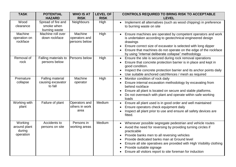| <b>TASK</b>                                    | <b>POTENTIAL</b><br><b>HAZARD</b>                       | <b>WHO IS AT</b><br><b>RISK</b>           | <b>LEVEL OF</b><br><b>RISK</b> | <b>CONTROLS REQUIRED TO BRING RISK TO ACCEPTABLE</b><br><b>LEVEL</b>                                                                                                                                                                                                                                                                                                                                                                                                                  |
|------------------------------------------------|---------------------------------------------------------|-------------------------------------------|--------------------------------|---------------------------------------------------------------------------------------------------------------------------------------------------------------------------------------------------------------------------------------------------------------------------------------------------------------------------------------------------------------------------------------------------------------------------------------------------------------------------------------|
| Wood<br>clearance                              | Spread of fire and<br>smoke when<br>burning waste       | Neighbours                                | High                           | Implement all alternatives (such as wood chipping) in preference<br>$\bullet$<br>to burning waste on site                                                                                                                                                                                                                                                                                                                                                                             |
| Machine<br>operation on<br>rockface            | Machine roll over<br>down rockface                      | Machine<br>operators and<br>persons below | High                           | Ensure machines are operated by competent operators and work<br>$\bullet$<br>is undertaken according to geotechnical engineered design<br>drawings<br>Ensure correct size of excavator is selected with long dipper<br>Ensure that machines do not operate on the edge of the rockface<br>by using "internal deliberate collapse" methodology                                                                                                                                         |
| Removal of<br>rock                             | Falling materials to<br>persons below                   | Persons below                             | High                           | Ensure the site is secured during rock removal operations<br>$\bullet$<br>Ensure that concrete protection barrier is in place and kept in<br>$\bullet$<br>good condition.<br>Inspect the concrete protection barrier and its anchor points daily<br>$\bullet$<br>Use suitable anchored catchfences / mesh as required<br>$\bullet$                                                                                                                                                    |
| Premature<br>collapse                          | <b>Falling material</b><br>causing excavator<br>to fall | Machine<br>operator                       | High                           | Monitor condition of rock daily<br>$\bullet$<br>Ensure internal excavation methodology by excavating from<br>$\bullet$<br>behind rockface<br>Ensure all plant is located on secure and stable platforms.<br>$\bullet$<br>Do not overreach with plant and operate within safe working<br>$\bullet$<br>loads                                                                                                                                                                            |
| Working with<br>plant                          | Failure of plant                                        | Operators and<br>others in work<br>area   | Medium                         | Ensure all plant used is in good order and well maintained<br>$\bullet$<br>Ensure operators check equipment daily<br>$\bullet$<br>Inspect all plant prior to use and ensure all safety devices are<br>$\bullet$<br>fitted.                                                                                                                                                                                                                                                            |
| Working<br>around plant<br>during<br>operation | Accidents to<br>persons on site                         | Persons in<br>working areas               | Medium                         | Whenever possible segregate pedestrian and vehicle routes<br>$\bullet$<br>Avoid the need for reversing by providing turning circles if<br>$\bullet$<br>practicable<br>Provide banks men to all reversing vehicles<br>$\bullet$<br>Provide dedicated banks man at Ground level<br>$\bullet$<br>Ensure all site operatives are provided with High Visibility clothing<br>$\bullet$<br>Provide suitable signage<br>$\bullet$<br>Ensure all visitors report to site foreman for induction |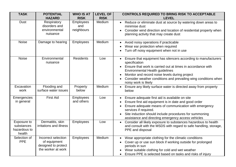| <b>TASK</b>                                         | <b>POTENTIAL</b><br><b>HAZARD</b>                                                | <b>WHO IS AT</b><br><b>RISK</b> | <b>LEVEL OF</b><br><b>RISK</b> | <b>CONTROLS REQUIRED TO BRING RISK TO ACCEPTABLE</b><br><b>LEVEL</b>                                                                                                                                                                                                                                                                                                                      |  |
|-----------------------------------------------------|----------------------------------------------------------------------------------|---------------------------------|--------------------------------|-------------------------------------------------------------------------------------------------------------------------------------------------------------------------------------------------------------------------------------------------------------------------------------------------------------------------------------------------------------------------------------------|--|
| <b>Dust</b>                                         | Respiratory<br>disorders and<br>environmental<br>nuisance                        | Employees<br>and<br>neighbours  | Medium                         | Reduce or eliminate dust at source by watering down areas to<br>$\bullet$<br>minimise dust<br>Consider wind direction and location of residential property when<br>$\bullet$<br>planning activity that may create dust                                                                                                                                                                    |  |
| <b>Noise</b>                                        | Damage to hearing                                                                | <b>Employees</b>                | Medium                         | Avoid noisy operations if practicable<br>$\bullet$<br>Wear ear protection when required<br>Turn off noisy equipment when not in use                                                                                                                                                                                                                                                       |  |
| <b>Noise</b>                                        | Environmental<br>nuisance                                                        | <b>Residents</b>                | Low                            | Ensure that equipment has silencers according to manufacturers<br>$\bullet$<br>specification<br>Ensure that work is carried out at times in accordance with<br>$\bullet$<br><b>Environmental Health guidelines</b><br>Monitor and record noise levels during project<br>$\bullet$<br>Consider weather conditions and prevailing wing conditions when<br>$\bullet$<br>noisy work is likely |  |
| Excavation<br>work                                  | Flooding and<br>surface water issues                                             | Property<br>below               | $M$ edium                      | Ensure any likely surface water is directed away from property<br>$\bullet$<br>below                                                                                                                                                                                                                                                                                                      |  |
| Emergencies<br>in general                           | <b>First Aid</b>                                                                 | Employees<br>and others         | Low                            | Ensure adequate first aid is available on site<br>Ensure first aid equipment is in date and good order<br>$\bullet$<br>Ensure adequate means of communication with emergency<br>$\bullet$<br>services if required.<br>Site induction should include procedures for summoning<br>assistance and directing emergency access vehicles                                                        |  |
| Exposure to<br>substances<br>hazardous to<br>health | Dermatitis, skin<br>irritations and illness                                      | Employees                       | Low                            | Consider all likely exposure to substances hazardous to health<br>$\bullet$<br>and consult with the MSDS with regard to safe handling, storage,<br>PPE and disposal                                                                                                                                                                                                                       |  |
| Selection of<br><b>PPE</b>                          | Incorrect selection<br>of equipment<br>designed to protect<br>the worker at work | Employees                       | Medium                         | Wear appropriate clothing for the climatic conditions<br>$\bullet$<br>Cover up or use sun block if working outside for prolonged<br>$\bullet$<br>periods in sun<br>Wear suitable clothing for cold and wet weather<br>Ensure PPE is selected based on tasks and risks of injury<br>$\bullet$                                                                                              |  |